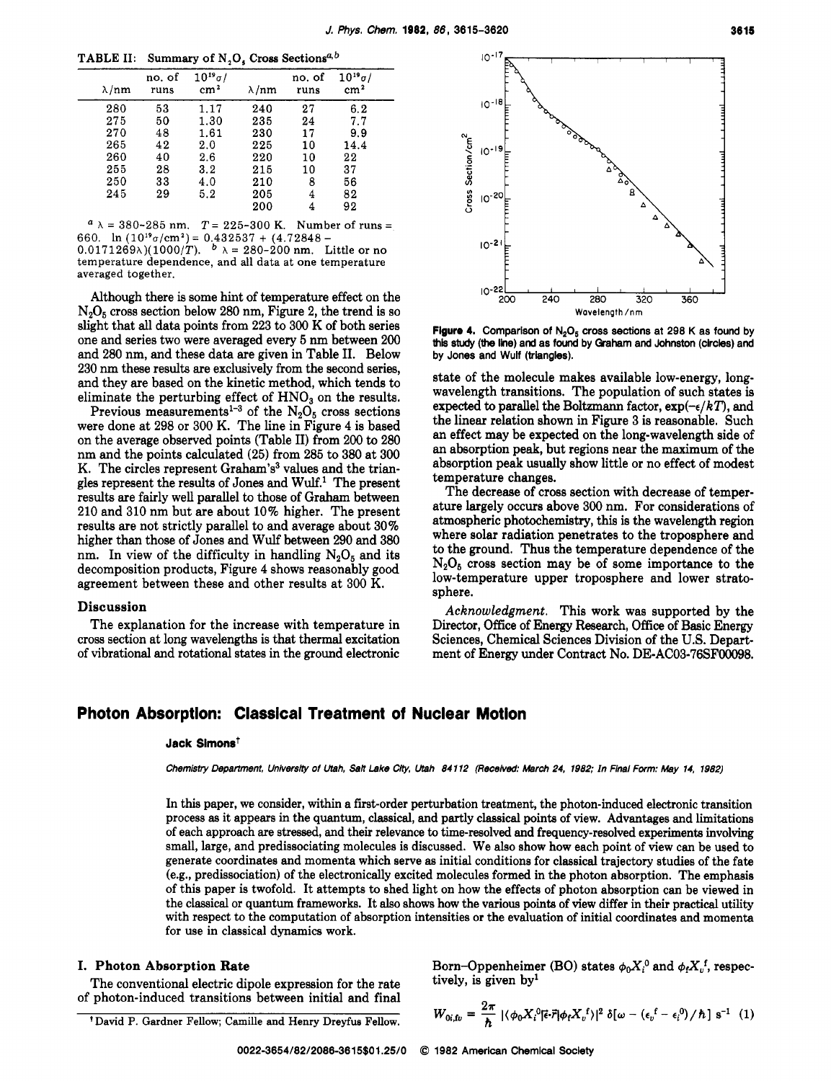**TABLE II:** Summary of N.O. Cross Sections<sup>a,b</sup>

| $\lambda / nm$ | no, of<br>runs | $10^{19}$ a/<br>cm <sup>2</sup> | $\lambda / nm$ | no. of<br>runs | $10^{19}$ a/<br>cm <sup>2</sup> |  |
|----------------|----------------|---------------------------------|----------------|----------------|---------------------------------|--|
| 280            | 53             | 1.17                            | 240            | 27             | 6.2                             |  |
| 275            | 50             | 1.30                            | 235            | 24             | 7.7                             |  |
| 270            | 48             | 1.61                            | 230            | 17             | 9.9                             |  |
| 265            | 42             | 2.0                             | 225            | 10             | 14.4                            |  |
| 260            | 40             | 2.6                             | 220            | 10             | 22                              |  |
| 255            | 28             | 3.2                             | 215            | 10             | 37                              |  |
| 250            | 33             | 4.0                             | 210            | 8              | 56                              |  |
| 245            | 29             | 5.2                             | 205            | 4              | 82                              |  |
|                |                |                                 | 200            |                | 92                              |  |
|                |                |                                 |                |                |                                 |  |

 $a \lambda = 380 - 285$  nm.  $T = 225 - 300$  K. Number of runs =  $A = 380-285$  nm.  $T = 225-300$  K. Number of runs =<br>660. ln  $(10^{19}\sigma/cm^2) = 0.432537 + (4.72848 - 0.0171269\lambda)(1000/T)$ .  $b \lambda = 280-200$  nm. Little or no temperature dependence, and all data at one temperature averaged together.

Although there is some hint of temperature effect on the **Nz05** cross section below 280 nm, Figure 2, the trend is so slight that **all** data points from 223 to 300 K of both series one and series two were averaged every 5 nm between 200 and 280 nm, and these data are given in Table 11. Below 230 nm these results are exclusively from the second series, and they are based on the kinetic method, which tends to eliminate the perturbing effect of  $HNO<sub>3</sub>$  on the results.

Previous measurements<sup>1-3</sup> of the  $N_2O_5$  cross sections were done at 298 or 300 K. The line in Figure **4** is based on the average observed points (Table 11) from 200 to 280 nm and the points calculated (25) from 285 to 380 at 300 K. The circles represent **Graham's3** values and the triangles represent the results of Jones and Wulf.' The present results are fairly well parallel to those of **Graham** between 210 and 310 nm but are about **10%** higher. The present results are not strictly parallel to and average about 30% higher than those of Jones and Wulf between 290 and 380 nm. In view of the difficulty in handling  $N_2O_5$  and its decomposition products, Figure **4** shows reasonably good agreement between these and other results at 300 K.

#### **Discussion**

The explanation for the increase with temperature in cross section at long wavelengths is that thermal excitation of vibrational and rotational states in the ground electronic



Figure 4. Comparison of **N,Os** cross sections at **298** K as found **by**  this **study** *(the* **line)** and as fowl **by** Graham and Johnston (circles) and **by** Jones **and** Wulf (triangles).

state of the molecule makes available low-energy, longwavelength transitions. The population of such states is expected to parallel the Boltzmann factor,  $\exp(-\epsilon/kT)$ , and the linear relation shown in Figure 3 is reasonable. Such an effect may be expected on the long-wavelength side of an absorption peak, but regions near the maximum of the absorption peak usually show little or no effect of modest temperature changes.

The decrease of cross section with decrease of temperature largely occurs above **300** nm. For considerations of atmospheric photochemistry, this is the wavelength region where solar radiation penetrates to the troposphere and to the ground. Thus the temperature dependence of the  $N_2O_5$  cross section may be of some importance to the low-temperature upper troposphere and lower stratosphere.

Acknowledgment. This work was supported by the Director, Office of Energy Research, Office of Basic Energy Sciences, Chemical Sciences Division of the **U.S.** Department of Energy under Contract No. DE-AC03-76SF00098.

# **Photon Absorption: Classical Treatment of Nuclear Motion**

#### **Jack Simons+**

*Chemisw Depertment, Unlversky of Utah, Salt Lake Cky, Utah 84 112 (Recelved: March 24, 1982; In Flnal Form: May 14, 1982)* 

In this paper, we consider, within a first-order perturbation treatment, the photon-induced electronic transition process **as** it appears in the quantum, classical, and partly classical points of view. Advantages and limitations of each approach are stressed, and their relevance to time-resolved **and** frequency-resolved experiments involving small, large, and predissociating molecules is discussed. We also show how each point of view can be used to generate coordinates and momenta which serve **as** initial conditions for classical trajectory studies of the fate (e.g., predissociation) of the electronically excited molecules formed in the photon absorption. The emphasis of this paper is twofold. It attempts to shed light on how the effects of photon absorption can be viewed in the classical or quantum frameworks. It **also** shows how the various points of view differ in their practical utility with respect to the computation of absorption intensities **or** the evaluation of initial coordinates and momenta for **use** in classical dynamics work.

### **I. Photon Absorption Rate**

The conventional electric dipole expression for the rate of photon-induced transitions between initial and final

David **P.** Gardner Fellow; Camille and Henry Dreyfus Fellow.

 $2\pi$ 

Born-Oppenheimer (BO) states  $\phi_0 X_i^0$  and  $\phi_t X_v^f$ , respectively, is given by<sup>1</sup>

$$
W_{0i,fv} = \frac{2\pi}{\hbar} |(\phi_0 X_i^0|\vec{\epsilon}\cdot\vec{r}|\phi_f X_v^f)|^2 \delta[\omega - (\epsilon_v^f - \epsilon_i^0)/\hbar] s^{-1} (1)
$$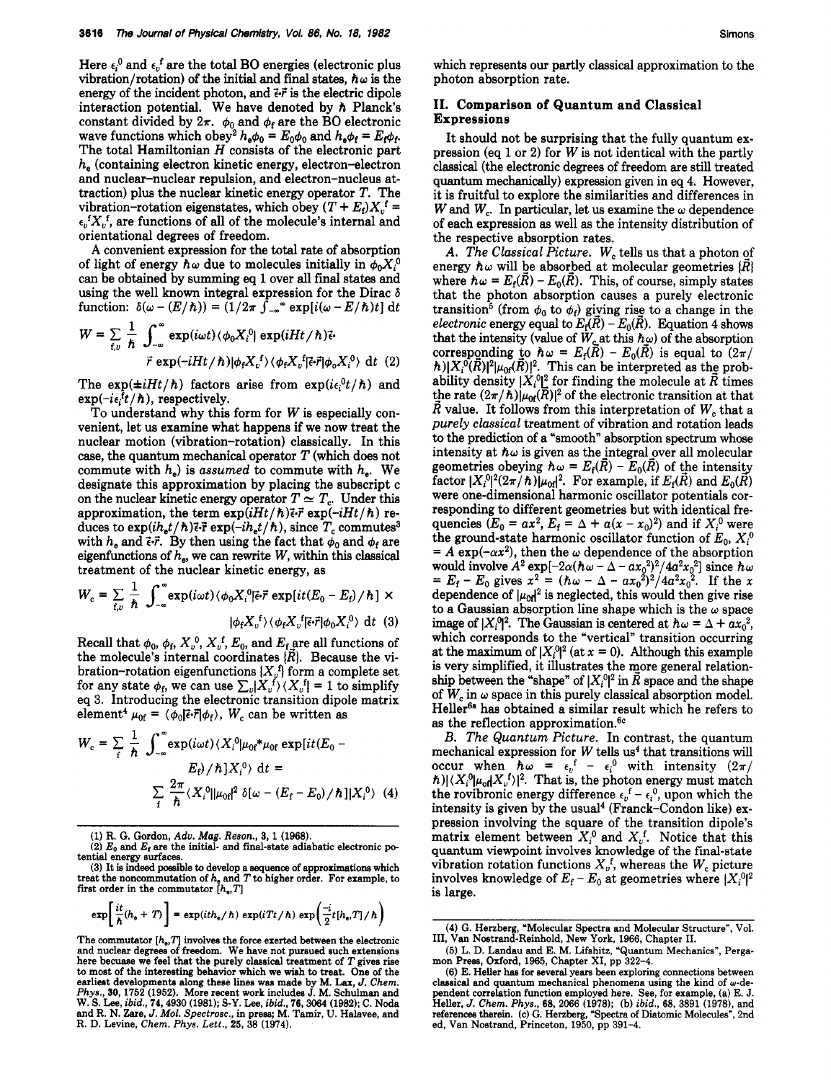Here  $\epsilon_i^0$  and  $\epsilon_i^f$  are the total BO energies (electronic plus vibration/rotation) of the initial and final states,  $h\omega$  is the energy of the incident photon, and  $\vec{\epsilon}$  *i* is the electric dipole interaction potential. We have denoted by *h* Planck's constant divided by  $2\pi$ .  $\phi_0$  and  $\phi_f$  are the BO electronic wave functions which obey<sup>2</sup>  $h_e\phi_0 = E_0\phi_0$  and  $h_e\phi_f = E_f\phi_f$ . The total Hamiltonian *H* consists of the electronic part  $h_{\alpha}$  (containing electron kinetic energy, electron-electron and nuclear-nuclear repulsion, and electron-nucleus attraction) plus the nuclear kinetic energy operator T. The vibration-rotation eigenstates, which obey  $(T + E_f)X_v^f$  =  $\epsilon_{\nu}^{f}X_{\nu}^{f}$ , are functions of all of the molecule's internal and orientational degrees of freedom.

**A** convenient expression for the **total** rate of absorption of light of energy  $\hbar \omega$  due to molecules initially in  $\phi_0 X_i^0$ can be obtained by summing eq 1 over all final **states** and using the well known integral expression for the Dirac  $\delta$ 

using the well known integral expression for the Dirac 
$$
\delta
$$
  
function:  $\delta(\omega - (E/\hbar)) = (1/2\pi \int_{-\infty}^{\infty} \exp[i(\omega - E/\hbar)t] dt$   

$$
W = \sum_{i,\nu} \frac{1}{\hbar} \int_{-\infty}^{\infty} \exp(i\omega t) \langle \phi_0 X_i^0 | \exp(iHt/\hbar) \vec{\epsilon} \cdot
$$

$$
\vec{r} \exp(-iHt/\hbar) |\phi_f X_v^{\dagger} \rangle \langle \phi_f X_v^{\dagger} | \vec{\epsilon} \cdot \vec{r} | \phi_0 X_i^0 \rangle dt \tag{2}
$$

The  $exp(\pm iHt/\hbar)$  factors arise from  $exp(i\epsilon_i^0 t/\hbar)$  and  $exp(-i\epsilon_1 t/\hbar)$ , respectively.

To understand why this form for  $W$  is especially convenient, let us examine what happens if we now treat the nuclear motion (vibration-rotation) classically. In this case, the quantum mechanical operator  $T$  (which does not commute with  $h_e$ ) is *assumed* to commute with  $h_e$ . We designate this approximation by placing the subscript *c*  on the nuclear kinetic energy operator  $T \simeq T_c$ . Under this approximation, the term  $exp(iHt/\hbar)\vec{\epsilon}\cdot\vec{r}$  exp( $-iHt/\hbar$ ) reduces to  $\exp(ih_{\rm e}t/\hbar)\vec{\epsilon}\cdot\vec{\bf r}$  exp(- $ih_{\rm e}t/\hbar$ ), since  $T_c$  commutes<sup>3</sup> with  $h_e$  and  $\vec{\epsilon} \cdot \vec{r}$ . By then using the fact that  $\phi_0$  and  $\phi_f$  are eigenfunctions of  $h_e$ , we can rewrite W, within this classical treatment of the nuclear kinetic energy, as

$$
W_{c} = \sum_{f,\upsilon} \frac{1}{\hbar} \int_{-\infty}^{\infty} \exp(i\omega t) \langle \phi_{0} X_{i}^{\delta} | \vec{\epsilon} \cdot \vec{r} \exp[it(E_{0} - E_{t}) / \hbar] \times
$$

$$
| \phi_{f} X_{\upsilon}^{\ \ f} \rangle \langle \phi_{f} X_{\upsilon}^{\ \ f} | \vec{\epsilon} \cdot \vec{r} | \phi_{0} X_{i}^{\ \delta} \rangle \ dt \ (3)
$$

Recall that  $\phi_0$ ,  $\phi_f$ ,  $X_v^0$ ,  $X_v^f$ ,  $E_0$ , and  $E_f$  are all functions of the molecule's internal coordinates  $\{\vec{R}\}$ . Because the vibration-rotation eigenfunctions  $\{X_v^{\text{f}}\}$  form a complete set for any state  $\phi_f$ , we can use  $\sum_{v} |X_v^{f}\rangle \langle X_v^{f}| = 1$  to simplify eq **3.** Introducing the electronic transition dipole matrix element<sup>4</sup>  $\mu_{0f} = \langle \phi_0 | \vec{\epsilon} \cdot \vec{r} | \phi_f \rangle$ ,  $W_c$  can be written as

$$
W_{c} = \sum_{f} \frac{1}{\hbar} \int_{-\infty}^{\infty} \exp(i\omega t) \langle X_{i}^{0} | \mu_{0f} * \mu_{0f} \exp[it(E_{0} - E_{f})/\hbar] X_{i}^{0} \rangle dt =
$$

$$
\sum_{f} \frac{2\pi}{\hbar} \langle X_{i}^{0} || \mu_{0f} |^{2} \delta[\omega - (E_{f} - E_{0})/\hbar] |X_{i}^{0} \rangle \tag{4}
$$

$$
\exp\left[\frac{it}{\hbar}(h_{\bullet}+T)\right] = \exp(ith_{\bullet}/\hbar)\exp(iTt/\hbar)\exp\left(\frac{-i}{2}t[h_{\bullet},T]/\hbar\right)
$$

which represents our partly classical approximation to the photon absorption rate.

# **11.** Comparison **of Quantum** and Classical **Expressions**

It should not be surprising that the fully quantum expression (eq 1 or 2) for  $W$  is not identical with the partly classical (the electronic degrees of freedom are still treated quantum mechanically) expression given in *eq* **4.** However, it is fruitful to explore the similarities and differences in W and  $W_c$ . In particular, let us examine the  $\omega$  dependence of each expression **as** well as the intensity distribution of the respective absorption rates.

A. The Classical Picture. W<sub>c</sub> tells us that a photon of energy  $\hbar \omega$  will be absorbed at molecular geometries  $\{\vec{R}\}$ where  $\hbar \omega = E_f(\vec{R}) - E_0(\vec{R})$ . This, of course, simply states that the photon absorption causes a purely electronic transition<sup>5</sup> (from  $\phi_0$  to  $\phi_f$ ) giving rise to a change in the *electronic* energy equal to  $E_f(\vec{R}) - E_0(\vec{R})$ . Equation 4 shows that the intensity (value of  $\hat{W}_c$  at this  $\hat{h}\omega$ ) of the absorption corresponding to  $\hbar \omega = E_f(\vec{R}) - E_0(\vec{R})$  is equal to  $(2\pi/$  $\hbar$ )| $X_i^{0}(\vec{R})|^2|\mu_{0f}(\vec{R})|^2$ . This can be interpreted as the probability density  $|X_i^0|^2$  for finding the molecule at  $\vec{R}$  times the rate  $(2\pi/\hbar)|\mu_{0}(\vec{R})|^2$  of the electronic transition at that  $\overline{R}$  value. It follows from this interpretation of  $W_c$  that a *purely* classical treatment of vibration and rotation leads to the prediction of a "smooth" absorption spectrum whose intensity at  $h\omega$  is given as the integral over all molecular geometries obeying  $\hbar \omega = E_f(\vec{R}) - E_0(\vec{R})$  of the intensity factor  $|X_i^0|^2(2\pi/\hbar)\mu_{0f}|^2$ . For example, if  $E_f(\vec{R})$  and  $E_0(\vec{R})$ were one-dimensional harmonic oscillator potentials **cor**responding to different geometries but with identical frequencies  $(E_0 = ax^2, E_f = \Delta + a(x - x_0)^2)$  and if  $X_i^0$  were the ground-state harmonic oscillator function of  $E_0$ ,  $X_i^0$  $= A \exp(-\alpha x^2)$ , then the  $\omega$  dependence of the absorption  $- A \exp(-\alpha x^{-1})$ , then the  $\omega$  dependence of the absorption<br>would involve  $A^2 \exp[-2\alpha(\hbar \omega - \Delta - a x_0^2)^2/4a^2x_0^2]$  since  $\hbar \omega$  $= E_f - E_0$  gives  $x^2 = (\hbar \omega - \Delta - ax_0^2)^2/4a^2x_0^2$ . If the *x* dependence of  $|\mu_{0f}|^2$  is neglected, this would then give rise to a Gaussian absorption line shape which is the *w* space image of  $|X_i^0|^2$ . The Gaussian is centered at  $\hbar \omega = \Delta + a x_0^2$ . which corresponds to the "vertical" transition occurring at the maximum of  $|X_i^0|^2$  (at  $x = 0$ ). Although this example is very simplified, it illustrates the more general relationship between the "shape" of  $|X_i^0|^2$  in  $\vec{R}$  space and the shape of  $W_c$  in  $\omega$  space in this purely classical absorption model. Heller<sup>6a</sup> has obtained a similar result which he refers to as the reflection approximation.<sup>6c</sup>

*B.* The *Quantum Picture.* In contrast, the quantum mechanical expression for  $W$  tells us<sup>4</sup> that transitions will occur when  $h\omega = \epsilon_b^f - \epsilon_i^0$  with intensity  $(2\pi)$  $\hbar$ )| $\langle X_i^0 | \mu_{\rm of} | X_i^{\rm f} \rangle$ |<sup>2</sup>. That is, the photon energy must match the rovibronic energy difference  $\epsilon_{\nu}^f - \epsilon_i^0$ , upon which the intensity is given by the usual<sup>4</sup> (Franck-Condon like) expression involving the square of the transition dipole's matrix element between  $X_i^0$  and  $X_i^f$ . Notice that this quantum viewpoint involves knowledge of the final-state vibration rotation functions  $X_v^f$ , whereas the  $W_c$  picture involves knowledge of  $E_f - E_0$  at geometries where  $|X_i^0|^2$ is large.

**<sup>(1)</sup> R. G. Gordon,** *Adu.* **Mag.** *Reson.,* **3,l (1968).** 

 $(2)$   $E_0$  and  $E_f$  are the initial- and final-state adiabatic electronic po**tential energy surfaces.** 

<sup>(3)</sup> It is indeed possible to develop a sequence of approximations which treat the noncommutation of  $h_e$  and  $T$  to higher order. For example, to first order in the commutator  $[h_e, T]$ 

The commutator  $[h_e,T]$  involves the force exerted between the electronic **and nuclear degrees of freedom. We have not pursued such extensions here becuase we feel that the purely classical treatment of** *T* **gives rise to most of the interesting behavior which we** wish **to treat. One of the earliest developments along these lines was made by M. Lax,** *J. Chem. Phys.,* **30,1752 (1952). More recent work includes J. M. Schulman and**  W. S. Lee, ibid., 74, 4930 (1981); S-Y. Lee, ibid., 76, 3064 (1982); C. Noda<br>and R. N. Zare, J. Mol. Spectrosc., in press; M. Tamir, U. Halavee, and<br>R. D. Levine, *Chem. Phys. Lett.*, 25, 38 (1974).

**<sup>(4)</sup> G. Herzberg, 'Molecular Spectra and Molecular Structure", Vol. 111, Van Nostrand-Reinhold, New York, 1966, Chapter 11.** 

**<sup>(5)</sup> L. D. Landau and E. M. Lifshitz, "Quantum Mechanics", Perga- mon Press, Oxford, 1965, Chapter XI, pp 322-4.** 

**<sup>(6)</sup> E. Heller has for several years been exploring connections between classical and quantum mechanical phenomena using the kind of w-dependent correlation function employed here. See, for example, (a) E. J.**  Heller, J. Chem. Phys., 68, 2066 (1978); (b) ibid., 68, 3891 (1978), and<br>references therein. (c) G. Herzberg, "Spectra of Diatomic Molecules", 2nd<br>ed, Van Nostrand, Princeton, 1950, pp 391–4.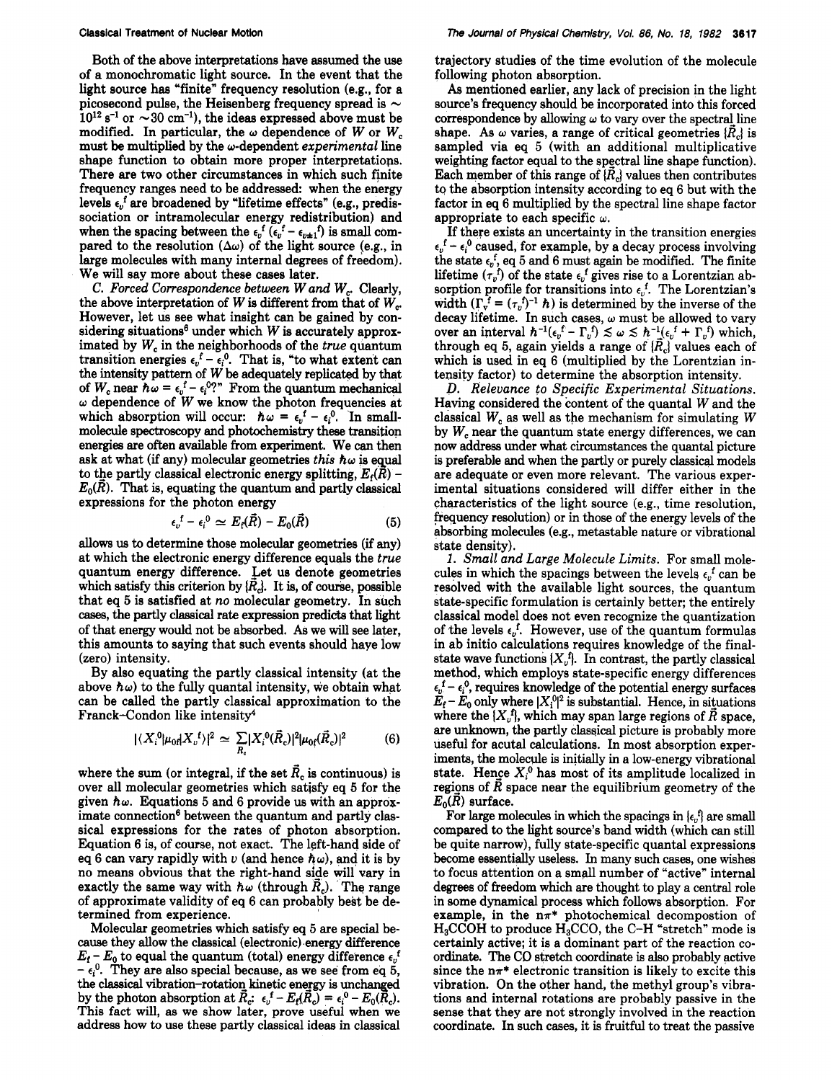**Both** of the above interpretations have assumed the **use**  of a monochromatic light source. In the event that the light source has "finite" frequency resolution (e.g., for a picosecond pulse, the Heisenberg frequency spread is  $\sim$  $10^{12}$  s<sup>-1</sup> or  $\sim$  30 cm<sup>-1</sup>), the ideas expressed above must be modified. In particular, the  $\omega$  dependence of W or W<sub>c</sub> must be multiplied by the w-dependent *experimental* line shape function to obtain more proper interpretatiops. There are two other circumstances in which such finite frequency ranges need to be addressed: when the energy levels  $\epsilon_{\mu}^{\text{ }f}$  are broadened by "lifetime effects" (e.g., predissociation or intramolecular energy redistribution) and when the spacing between the  $\epsilon_{\nu}^{f}$  ( $\epsilon_{\nu}^{f} - \epsilon_{\nu+1}^{f}$ ) is small compared to the resolution  $(\Delta \omega)$  of the light source (e.g., in large molecules with many internal degrees of freedom). We will say more about these cases later.

*C. Forced Correspondence between* Wand W,. Clearly, the above interpretation of W is different from that of  $W_{\alpha}$ . However, let us see what insight can be gained by considering situations<sup>6</sup> under which  $W$  is accurately approximated by W, in the neighborhoods of the *true* quantum transition energies  $\epsilon_{\nu}^f - \epsilon_{\nu}^i$ . That is, "to what extent can the intensity pattern of W be adequately replicated by that of  $W_c$  near  $\hbar \omega = \epsilon_v^f - \epsilon_i^{0.2}$  **Prom** the quantum mechanical  $\omega$  dependence of  $W$  we know the photon frequencies at which absorption will occur:  $\hbar \omega = \epsilon_n^f - \epsilon_i^0$ . In smallmolecule spectroscopy and photochemistry these transition energies are often available from experiment. We can then ask at what (if any) molecular geometries *this*  $\hbar \omega$  is equal to the partly classical electronic energy splitting,  $E_r(\vec{R})$  –  $E_0(R)$ . That is, equating the quantum and partly classical expressions for the photon energy

$$
\epsilon_v^{\ \ f} - \epsilon_i^{\ 0} \simeq E_f(\vec{R}) - E_0(\vec{R}) \tag{5}
$$

allows us to determine those molecular geometries (if any) at which the electronic energy difference equals the *true*  quantum energy difference. Let us denote geometries which satisfy this criterion by  $\{\vec{R}_c\}$ . It is, of course, possible that eq 5 is satisfied at *no* molecular geometry. In such casea, the partly classical rate expreasion predicta that light of that energy would not be absorbed. *As* we will see later, this amounts to saying that such events should haye low (zero) intensity.

By also equating the partly classical intensity (at the above  $h\omega$ ) to the fully quantal intensity, we obtain what can be called the partly classical approximation to the Franck-Condon like intensity<sup>4</sup>

$$
|\langle X_i^0 | \mu_{0f} | X_v^{\text{f}} \rangle|^2 \simeq \sum_{R_c} |X_i^0(\vec{R}_c)|^2 |\mu_{0f}(\vec{R}_c)|^2 \tag{6}
$$

where the sum (or integral, if the set  $\vec{R}_c$  is continuous) is over all molecular geometries which satisfy eq 5 for the given  $\hbar\omega$ . Equations 5 and 6 provide us with an approximate connection<sup>6</sup> between the quantum and partly classical expressions for the rates of photon absorption. Equation 6 is, of course, not exact. The lgft-hand side of eq 6 can vary rapidly with *v* (and hence  $\hbar \omega$ ), and it is by no means obvious that the right-hand sige will vary in exactly the same way with  $h\omega$  (through  $R_c$ ). The range of approximate validity of eq 6 can prchably best be determined from experience.

Molecular geometries which satisfy eq 5 are special because they allow the classical (electronic) energy difference  $E_f - E_0$  to equal the quantum (total) energy difference  $\epsilon_0^f$  $-\epsilon_i^0$ . They are also special because, as we see from eq 5, the classical vibration-rotation\_ kinetic energy is unchanged by the photon absorption at  $\vec{R}_c$ :  $\epsilon_v^f - E_f(\vec{R}_c) = \epsilon_i^0 - E_0(\vec{R}_c)$ . This fact will, **as** we show later, prove useful when we address how to use these partly classical ideas in classical

trajectory studies of the time evolution of the molecule following photon absorption.

*As* mentioned earlier, any lack of precision in the light source's frequency should be incorporated into this forced correspondence by allowing  $\omega$  to vary over the spectral line shape. As  $\omega$  varies, a range of critical geometries  $\{\vec{R}_c\}$  is sampled via eq 5 (with an additional multiplicative weighting factor equal to the spectral line shape function). Each member of this range of  $\{R_{\rm c}\}$  values then contributes to the absorption intensity according to eq 6 but with the factor in eq 6 multiplied by the spectral line shape factor appropriate to each specific *w.* 

If there exists an uncertainty in the transition energies  $\epsilon_{b}^{\text{H}} - \epsilon_{i}^{\text{o}}$  caused, for example, by a decay process involving the state  $\epsilon_v$ <sup>f</sup>, eq 5 and 6 must again be modified. The finite lifetime  $(\tau_v^f)$  of the state  $\epsilon_v^f$  gives rise to a Lorentzian absorption profile for transitions into  $\epsilon_v$ <sup>f</sup>. The Lorentzian's width  $(\Gamma_v^{\{f\}} = (\tau_v^{\{f\}})^{-1} \hbar)$  is determined by the inverse of the decay lifetime. In such cases,  $\omega$  must be allowed to vary over an interval  $\hbar^{-1}(\epsilon_v^f - \Gamma_v^f) \lesssim \omega \lesssim \hbar^{-1}(\epsilon_v^f + \Gamma_v^f)$  which, through eq 5, again yields a range of  $\{\vec{R}_c\}$  values each of which is used in eq 6 (multiplied by the Lorentzian intensity factor) to determine the absorption intensity.

D. *Relevance to Specific Experimental Situations.*  Having considered the content of the quantal  $W$  and the classical W, **as** well as the mechanism for simulating W by  $W_c$  near the quantum state energy differences, we can now address under what circumstances the quantal picture is preferable and when the partly or purely classical models are adequate or even more relevant. The various experimental situations considered will differ either in the characteristics of the light source (e.g., time resolution, frequency resolution) or in those of the energy levels of the absorbing molecules (e.g., metastable nature or vibrational state density).

*1. Small and Large Molecule Limits.* For small molecules in which the spacings between the levels  $\epsilon_{\nu}^{\text{f}}$  can be resolved with the available light sources, the quantum state-specific formulation is certainly better; the entirely classical model does not even recognize the quantization of the levels  $\epsilon_{\theta}$ <sup>f</sup>. However, use of the quantum formulas in ab initio calculations requires knowledge of the finalstate wave functions  $\{X_{n}\}$ . In contrast, the partly classical method, which employs state-specific energy differences method, which employs state-specific energy differences<br> $\epsilon_{\nu}^{f} - \epsilon_{i}^{0}$ , requires knowledge of the potential energy surfaces  $E_f - E_i$ ; requires knowledge of the potential energy surfaces  $E_f - E_0$  only where  $|X_i^0|^2$  is substantial. Hence, in situations where the  $\{X_{\nu}\}\$ , which may span large regions of  $\tilde{R}$  space, are unknown, the partly classical picture is probably more useful for acutal calculations. In most absorption experiments, the molecule is initially in a low-energy vibrational state. Hence  $X_i^0$  has most of its amplitude localized in regions of  $R$  space near the equilibrium geometry of the  $E_0(\vec{R})$  surface.

For large molecules in which the spacings in  $\{\epsilon_v\}$  are small compared to the light source's band width (which can still be quite narrow), fully state-specific quantal expressions become essentially useless. In many such cases, one wishes to focus attention on a small number of "active" internal degrees of freedom which are thought to play a central role in some dynamical process which follows absorption. For example, in the  $n\pi^*$  photochemical decompostion of  $H<sub>3</sub>CCOH$  to produce  $H<sub>3</sub>CCO$ , the C-H "stretch" mode is certainly active; it is a dominant part of the reaction coordinate. The CL) stretch coordinate is **also** probably active since the  $n\pi^*$  electronic transition is likely to excite this vibration. On the other hand, the methyl group's vibrations and internal rotations are probably passive in the sense that they are not strongly involved in the reaction coordinate. In such cases, it is fruitful to treat the passive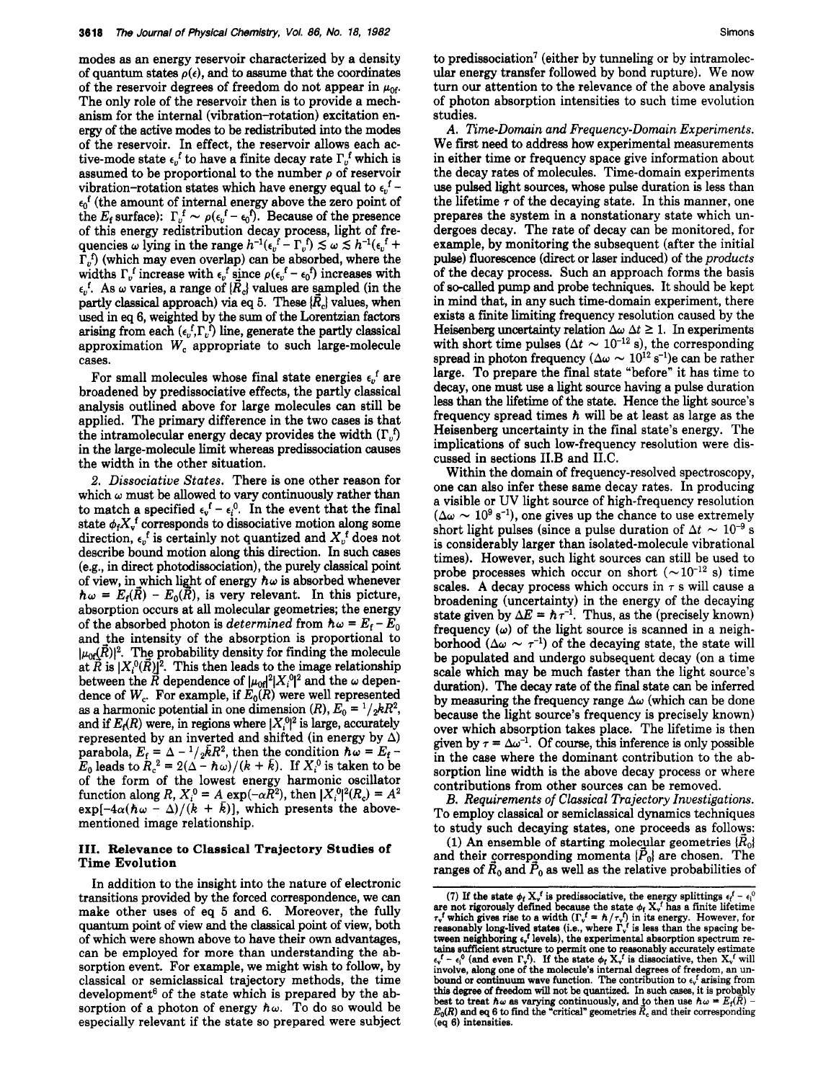modes **as** an energy reservoir characterized by a density of quantum states  $\rho(\epsilon)$ , and to assume that the coordinates of the reservoir degrees of freedom do not appear in  $\mu_{0f}$ . The only role of the reservoir then is to provide a mechanism for the internal (vibration-rotation) excitation energy of the active modes to be redistributed into the modes of the reservoir. In effect, the reservoir allows each active-mode state  $\epsilon_v^f$  to have a finite decay rate  $\Gamma_v^f$  which is assumed to be proportional to the number  $\rho$  of reservoir vibration-rotation states which have energy equal to  $\epsilon_{\nu}^{\ \ f}$  - $\epsilon_0$ <sup>f</sup> (the amount of internal energy above the zero point of the  $E_f$  surface):  $\Gamma_v^f \sim \rho(\epsilon_v^f - \epsilon_0^f)$ . Because of the presence of this energy redistribution decay process, light of frequencies  $\omega$  lying in the range  $h^{-1}(\epsilon_{v}^{f} - \Gamma_{v}^{f}) \leq \omega \leq h^{-1}(\epsilon_{v}^{f} +$  $\Gamma$ <sup>1</sup>,  $\Gamma$ <sup>2</sup> (which may even overlap) can be absorbed, where the  $\Gamma_{v}$ ) (which may even overlap) can be absorbed, where the widths  $\Gamma_{v}$ <sup>f</sup> increases with  $\epsilon_{v}$ <sup>f</sup> since  $\rho(\epsilon_{v}$ <sup>f</sup> -  $\epsilon_{0}$ <sup>f</sup>) increases with  $\epsilon_v$ <sup>f</sup>. As  $\omega$  varies, a range of  $\{R_c\}$  values are sampled (in the partly classical approach) via eq 5. These  $\{\vec{R}_c\}$  values, when used in *eq* 6, weighted by the sum of the Lorentzian factors arising from each  $(\epsilon_v^f, \Gamma_v^f)$  line, generate the partly classical approximation *W,* appropriate to such large-molecule cases.

For small molecules whose final state energies  $\epsilon_{\nu}^{\ \ f}$  are broadened by predissociative effects, the partly classical analysis outlined above for large molecules can still be applied. The primary difference in the two cases is that the intramolecular energy decay provides the width  $(\Gamma_n)$ in the large-molecule limit whereas predissociation causes the width in the other situation.

2. *Dissociative States.* There is one other reason for which  $\omega$  must be allowed to vary continuously rather than to match a specified  $\epsilon_v^f - \epsilon_i^0$ . In the event that the final state  $\phi_f X_v^f$  corresponds to dissociative motion along some direction,  $\epsilon_v$ <sup>f</sup> is certainly not quantized and  $X_v$ <sup>f</sup> does not describe bound motion along this direction. In such cases (e.g., in direct photodissociation), the purely classical point of view, in which light of energy  $h\omega$  is absorbed whenever  $\hbar \omega = E_f(\vec{R}) - E_0(\vec{R})$ , is very relevant. In this picture, absorption occurs at **all** molecular geometries; the energy of the absorbed photon is *determined* from  $\hbar \omega = E_f - E_0$ and the intensity of the absorption is proportional to  $|\mu_{0f}(\vec{R})|^2$ . The probability density for finding the molecule at  $\vec{R}$  is  $[X_i^0(\vec{R})]^2$ . This then leads to the image relationship between the  $\vec{R}$  dependence of  $|\mu_{0f}|^2 |X_i^0|^2$  and the  $\omega$  dependence of  $W_c$ . For example, if  $E_0(R)$  were well represented as a harmonic potential in one dimension  $(R)$ ,  $E_0 = \frac{1}{2}kR^2$ , and if  $E_f(R)$  were, in regions where  $|X_i^0|^2$  is large, accurately represented by an inverted and shifted (in energy by  $\Delta$ ) parabola,  $E_f = \Delta - \frac{1}{2} \bar{k} R^2$ , then the condition  $\hbar \omega = E_f - E_0$  leads to  $R_c^2 = 2(\Delta - \hbar \omega)/(k + \bar{k})$ . If  $X_i^0$  is taken to be of the form of the lowest energy harmonic oscillator function along *R*,  $X_i^0 = A \exp(-\alpha \tilde{R}^2)$ , then  $|X_i^0|^2(R_c) = A^2$  $\exp[-4\alpha(\hbar\omega - \Delta)/(k + \bar{k})]$ , which presents the abovementioned image relationship.

# **111. Relevance to Classical Trajectory Studies of Time Evolution**

In addition to the insight into the nature of electronic transitions provided by the forced correspondence, we *can*  make other uses of eq 5 and 6. Moreover, the fully quantum point of view and the classical point of view, both of which were shown above to have their own advantages, can be employed for more than understanding the absorption event. For example, we might wish to follow, by classical or semiclassical trajectory methods, the time development<sup>6</sup> of the state which is prepared by the absorption of a photon of energy  $\hbar\omega$ . To do so would be especially relevant if the state so prepared were subject to predissociation<sup>7</sup> (either by tunneling or by intramolecular energy transfer followed by bond rupture). We now turn our attention to the relevance of the above analysis of photon absorption intensities to such time evolution studies.

A. *Time-Domuin and Frequency-Domain Experiments.*  We first need to address how experimental measurements in either time or frequency space give information about the decay rates of molecules. Time-domain experiments use pulsed light sources, whose pulse duration is less than the lifetime  $\tau$  of the decaying state. In this manner, one prepares the system in a nonstationary state which undergoes decay. The rate of decay can be monitored, for example, by monitoring the subsequent (after the initial pulse) fluorescence (direct or laser induced) of the *products*  of the decay process. Such an approach forms the basis of so-called pump and probe techniques. It should be kept in mind that, in any such time-domain experiment, there exists a finite limiting frequency resolution caused by the Heisenberg uncertainty relation  $\Delta \omega \Delta t \geq 1$ . In experiments Heisenberg uncertainty relation  $\Delta \omega \Delta t \geq 1$ . In experiments<br>with short time pulses  $(\Delta t \sim 10^{-12} \text{ s})$ , the corresponding with short time pulses  $(\Delta t \sim 10^{-12} \text{ s})$ , the corresponding spread in photon frequency  $(\Delta \omega \sim 10^{12} \text{ s}^{-1})$ e can be rather large. To prepare the final state "before" it has time to decay, one must use a light source having a pulse duration leas than the lifetime of the state. Hence the light source's frequency spread times  $\hbar$  will be at least as large as the Heisenberg uncertainty in the final state's energy. The implications of such low-frequency resolution were discussed in sections 1I.B and 1I.C.

Within the domain of frequency-resolved spectroscopy, one can also infer these same decay rates. In producing a visible or UV light source of high-frequency resolution  $(\Delta \omega \sim 10^9 \text{ s}^{-1})$ , one gives up the chance to use extremely  $(\Delta \omega \sim 10^9 \text{ s}^{-1})$ , one gives up the chance to use extremely short light pulses (since a pulse duration of  $\Delta t \sim 10^{-9} \text{ s}$ ) is considerably larger than isolated-molecule vibrational times). However, such light sources can still be used to probe processes which occur on short  $({\sim}10^{-12}$  s) time scales. **A** decay process which occurs in *7* s will cause a broadening (uncertainty) in the energy of the decaying state given by  $\Delta E = \hbar \tau^{-1}$ . Thus, as the (precisely known) frequency  $(\omega)$  of the light source is scanned in a neighborhood  $(\Delta \omega \sim \tau^{-1})$  of the decaying state, the state will be populated and undergo subsequent decay (on a time scale which may be much faster than the light source's duration). The decay rate of the final state *can* be inferred by measuring the frequency range  $\Delta\omega$  (which can be done because the light source's frequency is precisely known) over which absorption takes place. The lifetime is then given by  $\tau = \Delta \omega^{-1}$ . Of course, this inference is only possible in the case where the dominant contribution to the absorption line width is the above decay process or where contributions from other sources can be removed.

*B. Requirements of Classical Trajectory Investigations.*  To employ classical or semiclassical dynamics techniques to study such decaying states, one proceeds as folloys:

(1) An ensemble of starting molecular geometries  $\{R_0\}$ and their corresponding momenta  $\{P_0\}$  are chosen. The ranges of  $\vec{R}_0$  and  $\vec{P}_0$  as well as the relative probabilities of

<sup>(7)</sup> If the state  $\phi_f$   $X_r$ <sup>f</sup> is predissociative, the energy splittings  $\epsilon_f^f - \epsilon_i^0$ are not rigorously defined because the state  $\phi_t X_v^t$  has a finite lifetime  $\tau_v^t$  which gives rise to a width  $(\Gamma_v^t = \hbar / \tau_v^t)$  in its energy. However, for reasonably long-lived states (i.e., where  $\Gamma_v^t$  is less tha involve, **along** one of the molecule's internal degrees of freedom, an un- bound or continuum wave function. The contribution to **e,'** arising from this degree of freedom will not be quantized. In such cases, it is probably best to treat  $\hbar \omega$  as varying continuously, and to then use  $\hbar \omega = E_f(\vec{R})$  –  $E_0(R)$  and eq 6 to find the "critical" geometries  $\vec{R}_c$  and their corresponding (eq 6) intensities.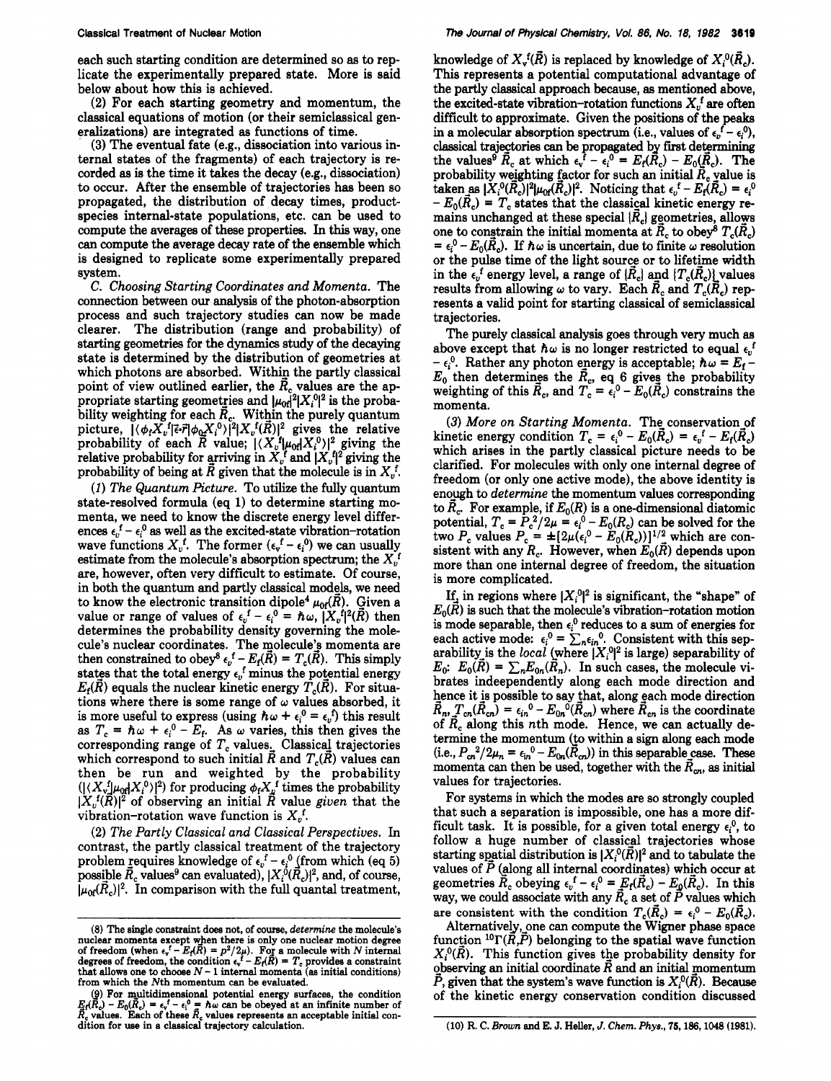each such starting condition are determined so **as** to replicate the experimentally prepared state. More is said below about how this is achieved.

(2) For each starting geometry and momentum, the classical equations of motion (or their semiclassical generalizations) are integrated **as** functions of time.

(3) The eventual fate (e.g., dissociation into various internal states of the fragments) of each trajectory is recorded **as** is the time it takes the decay (e.g., dissociation) to occur. After the ensemble of trajectories has been so propagated, the distribution of decay times, productspecies internal-state populations, etc. can be used to compute the averages of these properties. In **this** way, one *can* compute the average decay rate of the ensemble which is designed to replicate some experimentally prepared system.

*C. Choosing Starting Coordinates and Momenta.* The connection between our analysis of the photon-absorption process and such trajectory studies can now be made clearer. The distribution (range and probability) of starting geometries for the dynamics study of the decaying state is determined by the distribution of geometries at which photons are absorbed. Within the partly classical point of view outlined earlier, the  $\vec{R}_c$  values are the appropriate starting geometries and  $|\mu_{0d}|^2 |X_i|^2$  is the probability weighting for each *R,.* Within the purely quantum picture,  $\overline{(\phi_t X_v^f | \vec{\epsilon} \cdot \vec{r} | \phi_0 X_i^0)}^2 |X_v^f(\vec{R})|^2$  gives the relative probability of each *R* value;  $|\langle X_{\nu}^{\mathsf{f}} | \mu_{0\mathsf{f}} | X_{i}^{\mathsf{0}} \rangle|^2$  giving the relative probability for arriving in  $X_t$ <sup>f</sup> and  $|X_t^{\dagger}|^2$  giving the probability of being at *R* given that the molecule is in  $X_{\nu}$ .

*(1) The Quantum Picture.* To utilize the fully quantum state-resolved formula (eq 1) to determine starting momenta, we need to know the discrete energy level differences  $\epsilon_v^f - \epsilon_i^0$  as well as the excited-state vibration-rotation wave functions  $X_v^f$ . The former  $(\epsilon_v^f - \epsilon_i^0)$  we can usually estimate from the molecule's absorption spectrum; the  $X_t^f$ are, however, often very difficult to estimate. Of course, in both the quantum and partly classical models, we need to know the electronic transition dipole<sup>4</sup>  $\mu_{0f}(R)$ . Given a value or range of values of  $\epsilon_v^f - \epsilon_i^0 = \hbar \omega$ ,  $[X_v^f]^2(\bar{R})$  then determines the probability density governing the molecule's nuclear coordinates. The molecule's momenta are then constrained to obey<sup>8</sup>  $\epsilon_p^f - E_f(\vec{R}) = T_c(\vec{R})$ . This simply states that the total energy  $\epsilon$ <sup>f</sup> minus the potential energy  $E_f(R)$  equals the nuclear kinetic energy  $T_c(R)$ . For situations where there is some range of *w* values absorbed, it is more useful to express (using  $h\omega + \epsilon_i^0 = \epsilon_i^0$ ) this result as  $T_c = h\omega + \epsilon_i^0 - E_f$ . As  $\omega$  varies, this then gives the corresponding range of *T,* values, Classical trajectories which correspond to such initial  $\vec{R}$  and  $T_c(\vec{R})$  values can then be run and weighted by the probability  $(|\langle X_{\rm v}^{\rm f} | \mu_{\rm 0f} | X_{\rm i}^{\rm 0} \rangle|^2)$  for producing  $\phi_{\rm f} X_{\rm i}^{\rm f}$  times the probability  $|X_{\nu}^{(f)}(\vec{R})|^2$  of observing an initial  $\vec{R}$  value *given* that the vibration-rotation wave function is  $X_t$ <sup>f</sup>.

**(2)** *The Partly Classical and Classical Perspectives.* In contrast, the partly classical treatment of the trajectory problem requires knowledge of  $\epsilon_i^f - \epsilon_i^0$  (from which (eq 5) possible  $\vec{R}_c$  values<sup>9</sup> can evaluated),  $|X_i^0(\vec{R}_c)|^2$ , and, of course,  $|\mu_{0f}(R_c)|^2$ . In comparison with the full quantal treatment, knowledge of  $X_{\nu}(\vec{R})$  is replaced by knowledge of  $X_i^0(\vec{R}_c)$ . This represents a potential computational advantage of the partly classical approach because, **as** mentioned above, the excited-state vibration-rotation functions  $X_i$ <sup>f</sup> are often difficult to approximate. Given the positions of the peaks in a molecular absorption spectrum (i.e., values of  $\epsilon_{v}^{f} - \epsilon_{i}^{0}$ ), classical trajectories can be propagated by first determining the values<sup>9</sup>  $\vec{R}_c$  at which  $\epsilon_y^f - \epsilon_i^0 = E_f(\vec{R}_c) - E_0(\vec{R}_c)$ . The probability weighting factor for such an initial  $\vec{R}_c$  value is taken\_as  $|X_i^0(\vec{R}_c)|^2 |\mu_{0f}(\vec{R}_c)|^2$ . Noticing that  $\epsilon_v^f - E_f(\vec{R}_c) = \epsilon_i^0$  $-E_0(R_c) = T_c$  states that the classical kinetic energy remains unchanged at these special  $\{R_c\}$  geometries, allows one to constrain the initial momenta at  $\vec{R}_c$  to obey<sup>8</sup>  $T_c(\vec{R}_c)$  =  $\epsilon_i^0$  –  $E_0(\vec{R}_c)$ . If  $\hbar \omega$  is uncertain, due to finite  $\omega$  resolution or the pulse time of the light source or to lifetime width in the  $\epsilon_{v}^{f}$  energy level, a range of  $\{\vec{R}_{c}\}\$  and  $\{T_{c}(\vec{R}_{c})\}\$  values results from allowing  $\omega$  to vary. Each  $\vec{R}_c$  and  $T_c(\vec{R}_c)$  represents a valid point for starting classical of semiclassical trajectories.

The purely classical analysis goes through very much **as**  above except that  $\hbar \omega$  is no longer restricted to equal  $\epsilon_{\nu}^{\delta}$  -  $\epsilon_{\ell}^{\delta}$ . Rather any photon energy is acceptable;  $\hbar \omega = E_f$  above except that  $h\omega$  is no longer restricted to equal  $\epsilon_v$ <br> $-\epsilon_i^0$ . Rather any photon energy is acceptable;  $\hbar\omega = E_f - E_0$  then determings the  $\vec{R}_c$ , eq 6 gives the probability  $E_0$  then determines the  $R_c$ , eq  $\sigma$  gives the probability weighting of this  $\vec{R}_c$ , and  $T_c = \epsilon_i^0 - E_0(\vec{R}_c)$  constrains the momenta.

(3) *More on Starting Momenta.* The conservation of kinetic energy condition  $T_c = \epsilon_i^0 - E_0(\vec{R}_c) = \epsilon_v^0 - E_f(\vec{R}_c)$ which arises in the partly classical picture needs to be clarified. For molecules with only one internal degree of freedom (or only one active mode), the above identity is enough to *determine* the momentum values corresponding to  $\tilde{R}_{c}$ . For example, if  $E_0(R)$  is a one-dimensional diatomic potential,  $T_c = P_c^2/2\mu = \epsilon_0^0 - E_0(R_c)$  can be solved for the potential,  $T_c = F_c^2 / 2\mu = \epsilon_i^2 - E_0 (R_c)$  call be solved for the<br>two  $P_c$  values  $P_c = \pm [2\mu (\epsilon_i^0 - E_0 (R_c))]^{1/2}$  which are consistent with any  $R_c$ . However, when  $E_0(\vec{R})$  depends upon more than one internal degree of freedom, the situation is more complicated.

If, in regions where  $|X_i^0|^2$  is significant, the "shape" of  $E_0(\vec{R})$  is such that the molecule's vibration-rotation motion is mode separable, then  $\epsilon_i^0$  reduces to a sum of energies for each active mode:  $\epsilon_i^0 = \sum_{n \epsilon_{in}^0} c_n$ . Consistent with this separability is the *local* (where  $|X_i^0|^2$  is large) separability of  $E_0$ :  $E_0(\bar{R}) = \sum_n E_{0n}(\bar{R}_n)$ . In such cases, the molecule vibrates indeependently along each mode direction and hence it is possible to say that, along each mode direction  $\vec{R}_{n}$ ,  $T_{cn}(\vec{R}_{cn}) = \epsilon_{in}^0 - E_{0n}^0(\vec{R}_{cn})$  where  $\vec{R}_{cn}$  is the coordinate of *R,* along this nth mode. Hence, we can actually determine the momentum (to within a sign along each mode (i.e.,  $P_{cn}^2/2\mu_n = \epsilon_{in}^0 - E_{0n}(\vec{R}_{cn})$ ) in this separable case. These momenta can then be used, together with the  $\vec{R}_{cn}$ , as initial values for trajectories.

For systems in which the modes are so strongly coupled that such a separation is impossible, one has a more difficult task. It is possible, for a given total energy  $\epsilon_i^0$ , to follow a huge number of classical trajectories whose starting spatial distribution is  $|X_i^0(R)|^2$  and to tabulate the values of  $P$  (along all internal coordinates) which occur at geometries  $\vec{R}_c$  obeying  $\epsilon_v^f - \epsilon_i^0 = E_f(\vec{R}_c) - E_g(\vec{R}_c)$ . In this way, we could associate with any  $\vec{R}_c$  a set of  $\vec{P}$  values which are consistent with the condition  $T_c(\tilde{R}_c) = \epsilon_i^0 - E_0(\tilde{R}_c)$ .

Alternatively, one can compute the Wigner phase space function <sup>10</sup> $\Gamma(\overline{R},\overline{P})$  belonging to the spatial wave function  $X_i^0(R)$ . This function gives the probability density for observing an initial coordinate  $\overline{R}$  and an initial momentum  $\tilde{P}$ , given that the system's wave function is  $X_i^0(\tilde{R})$ . Because of the kinetic energy conservation condition discussed

**<sup>(8)</sup> The single constraint does not, of** course, *determine* **the molecule's**  nuclear momenta except when there is only one nuclear motion degree<br>of freedom (when  $\epsilon_{\rm v}{}^f - E_f(R) = p^2/2\mu$ ). For a molecule with N internal<br>degrees of freedom, the condition  $\epsilon_{\rm v}{}^f - E_f(R) = T_c$  provides a constraint<br>

<sup>(9)</sup> For multidimensional potential energy surfaces, the condition  $E_f(\vec{R}_c) - E_0(\vec{R}_c) = \epsilon_v{}^f - \epsilon_l{}^0 = \hbar \omega$  can be obeyed at an infinite number of  $\vec{R}_c$  values. Each of these  $\vec{R}_c$  values represents an acceptable i **dition for** use **in a Classical trajectory calculation. (10) R. C.** *Brown* **and E. J. Heller,** *J. Chem. Phys.,* **76,186,1048 (1981).**